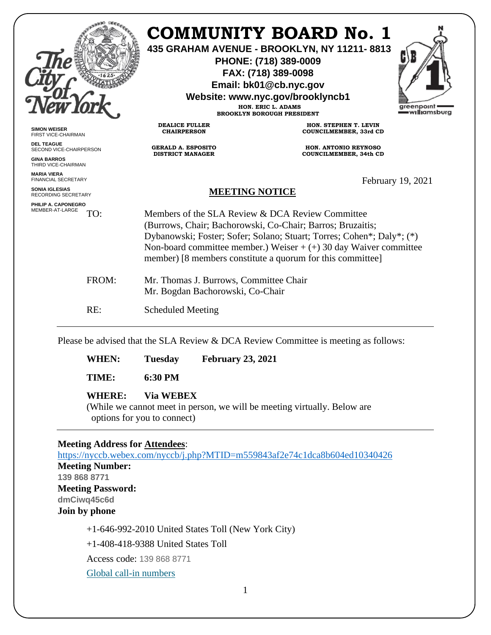|                                                  |                                                                                                                                     | <b>COMMUNITY BOARD No. 1</b><br>435 GRAHAM AVENUE - BROOKLYN, NY 11211-8813<br>PHONE: (718) 389-0009<br>FAX: (718) 389-0098<br>Email: bk01@cb.nyc.gov<br>Website: www.nyc.gov/brooklyncb1<br>HON. ERIC L. ADAMS<br><b>BROOKLYN BOROUGH PRESIDENT</b> | greenpoint<br>— williamsburg |
|--------------------------------------------------|-------------------------------------------------------------------------------------------------------------------------------------|------------------------------------------------------------------------------------------------------------------------------------------------------------------------------------------------------------------------------------------------------|------------------------------|
| <b>SIMON WEISER</b><br>FIRST VICE-CHAIRMAN       | <b>DEALICE FULLER</b><br><b>CHAIRPERSON</b>                                                                                         | HON. STEPHEN T. LEVIN<br>COUNCILMEMBER, 33rd CD                                                                                                                                                                                                      |                              |
| <b>DEL TEAGUE</b><br>SECOND VICE-CHAIRPERSON     | <b>GERALD A. ESPOSITO</b><br><b>DISTRICT MANAGER</b>                                                                                | HON. ANTONIO REYNOSO<br>COUNCILMEMBER, 34th CD                                                                                                                                                                                                       |                              |
| <b>GINA BARROS</b><br>THIRD VICE-CHAIRMAN        |                                                                                                                                     |                                                                                                                                                                                                                                                      |                              |
| <b>MARIA VIERA</b><br><b>FINANCIAL SECRETARY</b> | February 19, 2021                                                                                                                   |                                                                                                                                                                                                                                                      |                              |
| <b>SONIA IGLESIAS</b><br>RECORDING SECRETARY     | <b>MEETING NOTICE</b>                                                                                                               |                                                                                                                                                                                                                                                      |                              |
| PHILIP A. CAPONEGRO<br>MEMBER-AT-LARGE           |                                                                                                                                     |                                                                                                                                                                                                                                                      |                              |
| TO:                                              | Members of the SLA Review & DCA Review Committee                                                                                    |                                                                                                                                                                                                                                                      |                              |
|                                                  | (Burrows, Chair; Bachorowski, Co-Chair; Barros; Bruzaitis;<br>Dybanowski; Foster; Sofer; Solano; Stuart; Torres; Cohen*; Daly*; (*) |                                                                                                                                                                                                                                                      |                              |
|                                                  | Non-board committee member.) Weiser $+ (+)$ 30 day Waiver committee                                                                 |                                                                                                                                                                                                                                                      |                              |
|                                                  | member) [8 members constitute a quorum for this committee]                                                                          |                                                                                                                                                                                                                                                      |                              |
| FROM:                                            | Mr. Thomas J. Burrows, Committee Chair                                                                                              |                                                                                                                                                                                                                                                      |                              |
|                                                  | Mr. Bogdan Bachorowski, Co-Chair                                                                                                    |                                                                                                                                                                                                                                                      |                              |
| RE:                                              | <b>Scheduled Meeting</b>                                                                                                            |                                                                                                                                                                                                                                                      |                              |
|                                                  |                                                                                                                                     |                                                                                                                                                                                                                                                      |                              |

Please be advised that the SLA Review & DCA Review Committee is meeting as follows:

**WHEN: Tuesday February 23, 2021**

**TIME: 6:30 PM**

#### **WHERE: Via WEBEX**

(While we cannot meet in person, we will be meeting virtually. Below are options for you to connect)

## **Meeting Address for Attendees**:

<https://nyccb.webex.com/nyccb/j.php?MTID=m559843af2e74c1dca8b604ed10340426> **Meeting Number: 139 868 8771 Meeting Password: dmCiwq45c6d Join by phone** +1-646-992-2010 United States Toll (New York City)

+1-408-418-9388 United States Toll

Access code: 139 868 8771

[Global call-in numbers](javascript:void(0);)